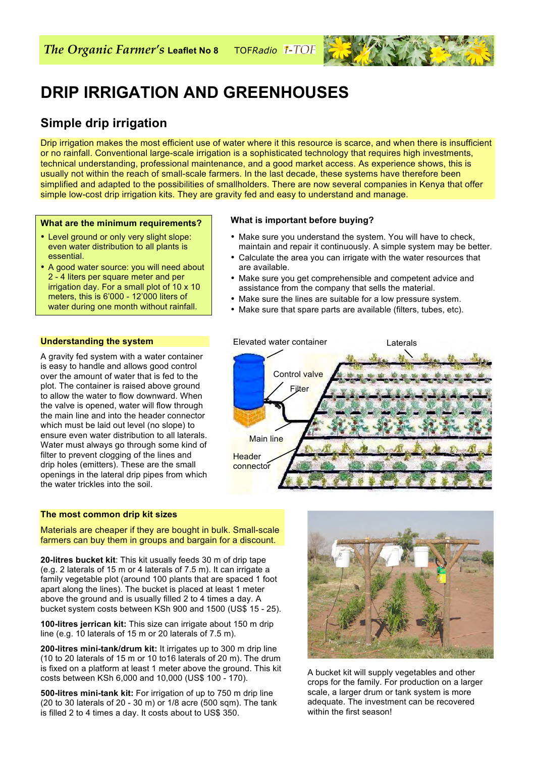

# **DRIP IRRIGATION AND GREENHOUSES**

# **Simple drip irrigation**

Drip irrigation makes the most efficient use of water where it this resource is scarce, and when there is insufficient or no rainfall. Conventional large-scale irrigation is a sophisticated technology that requires high investments, technical understanding, professional maintenance, and a good market access. As experience shows, this is usually not within the reach of small-scale farmers. In the last decade, these systems have therefore been simplified and adapted to the possibilities of smallholders. There are now several companies in Kenya that offer simple low-cost drip irrigation kits. They are gravity fed and easy to understand and manage.

#### **What are the minimum requirements?**

- Level ground or only very slight slope: even water distribution to all plants is essential.
- A good water source: you will need about 2 - 4 liters per square meter and per irrigation day. For a small plot of 10 x 10 meters, this is 6'000 - 12'000 liters of water during one month without rainfall.

#### **What is important before buying?**

- Make sure you understand the system. You will have to check, maintain and repair it continuously. A simple system may be better.
- Calculate the area you can irrigate with the water resources that are available.
- Make sure you get comprehensible and competent advice and assistance from the company that sells the material.
- Make sure the lines are suitable for a low pressure system.
- Make sure that spare parts are available (filters, tubes, etc).



#### **Understanding the system**

A gravity fed system with a water container is easy to handle and allows good control over the amount of water that is fed to the plot. The container is raised above ground to allow the water to flow downward. When the valve is opened, water will flow through the main line and into the header connector which must be laid out level (no slope) to ensure even water distribution to all laterals. Water must always go through some kind of filter to prevent clogging of the lines and drip holes (emitters). These are the small openings in the lateral drip pipes from which the water trickles into the soil.

#### **The most common drip kit sizes**

Materials are cheaper if they are bought in bulk. Small-scale farmers can buy them in groups and bargain for a discount.

**20-litres bucket kit**: This kit usually feeds 30 m of drip tape (e.g. 2 laterals of 15 m or 4 laterals of 7.5 m). It can irrigate a family vegetable plot (around 100 plants that are spaced 1 foot apart along the lines). The bucket is placed at least 1 meter above the ground and is usually filled 2 to 4 times a day. A bucket system costs between KSh 900 and 1500 (US\$ 15 - 25).

**100-litres jerrican kit:** This size can irrigate about 150 m drip line (e.g. 10 laterals of 15 m or 20 laterals of 7.5 m).

**200-litres mini-tank/drum kit:** It irrigates up to 300 m drip line (10 to 20 laterals of 15 m or 10 to16 laterals of 20 m). The drum is fixed on a platform at least 1 meter above the ground. This kit costs between KSh 6,000 and 10,000 (US\$ 100 - 170).

**500-litres mini-tank kit:** For irrigation of up to 750 m drip line (20 to 30 laterals of 20 - 30 m) or 1/8 acre (500 sqm). The tank is filled 2 to 4 times a day. It costs about to US\$ 350.



A bucket kit will supply vegetables and other crops for the family. For production on a larger scale, a larger drum or tank system is more adequate. The investment can be recovered within the first season!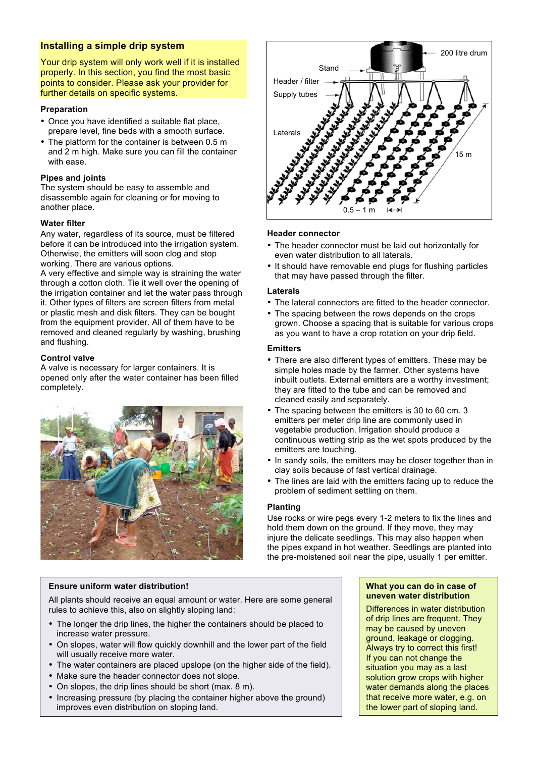# **Installing a simple drip system**

Your drip system will only work well if it is installed properly. In this section, you find the most basic points to consider. Please ask your provider for further details on specific systems.

#### **Preparation**

- Once you have identified a suitable flat place, prepare level, fine beds with a smooth surface.
- The platform for the container is between 0.5 m and 2 m high. Make sure you can fill the container with ease.

#### **Pipes and joints**

The system should be easy to assemble and disassemble again for cleaning or for moving to another place.

#### **Water filter**

Any water, regardless of its source, must be filtered before it can be introduced into the irrigation system. Otherwise, the emitters will soon clog and stop working. There are various options.

A very effective and simple way is straining the water through a cotton cloth. Tie it well over the opening of the irrigation container and let the water pass through it. Other types of filters are screen filters from metal or plastic mesh and disk filters. They can be bought from the equipment provider. All of them have to be removed and cleaned regularly by washing, brushing and flushing.

#### **Control valve**

A valve is necessary for larger containers. It is opened only after the water container has been filled completely.





#### **Header connector**

- The header connector must be laid out horizontally for even water distribution to all laterals.
- It should have removable end plugs for flushing particles that may have passed through the filter.

#### **Laterals**

- The lateral connectors are fitted to the header connector.
- The spacing between the rows depends on the crops grown. Choose a spacing that is suitable for various crops as you want to have a crop rotation on your drip field.

## **Emitters**

- There are also different types of emitters. These may be simple holes made by the farmer. Other systems have inbuilt outlets. External emitters are a worthy investment; they are fitted to the tube and can be removed and cleaned easily and separately.
- The spacing between the emitters is 30 to 60 cm. 3 emitters per meter drip line are commonly used in vegetable production. Irrigation should produce a continuous wetting strip as the wet spots produced by the emitters are touching.
- In sandy soils, the emitters may be closer together than in clay soils because of fast vertical drainage.
- The lines are laid with the emitters facing up to reduce the problem of sediment settling on them.

#### **Planting**

Use rocks or wire pegs every 1-2 meters to fix the lines and hold them down on the ground. If they move, they may injure the delicate seedlings. This may also happen when the pipes expand in hot weather. Seedlings are planted into the pre-moistened soil near the pipe, usually 1 per emitter.

#### **Ensure uniform water distribution!**

All plants should receive an equal amount or water. Here are some general rules to achieve this, also on slightly sloping land:

- The longer the drip lines, the higher the containers should be placed to increase water pressure.
- On slopes, water will flow quickly downhill and the lower part of the field will usually receive more water.
- The water containers are placed upslope (on the higher side of the field).
- Make sure the header connector does not slope.
- On slopes, the drip lines should be short (max. 8 m).
- Increasing pressure (by placing the container higher above the ground) improves even distribution on sloping land.

#### **What you can do in case of uneven water distribution**

Differences in water distribution of drip lines are frequent. They may be caused by uneven ground, leakage or clogging. Always try to correct this first! If you can not change the situation you may as a last solution grow crops with higher water demands along the places that receive more water, e.g. on the lower part of sloping land.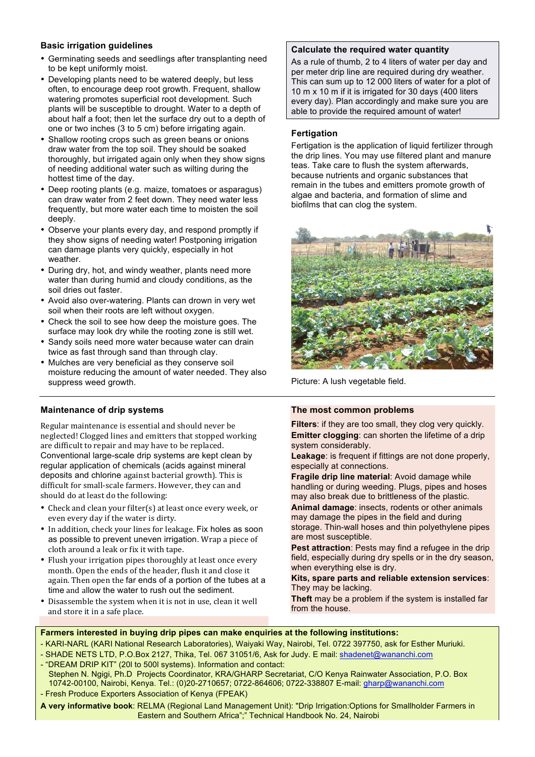## **Basic irrigation guidelines**

- Germinating seeds and seedlings after transplanting need to be kept uniformly moist.
- Developing plants need to be watered deeply, but less often, to encourage deep root growth. Frequent, shallow watering promotes superficial root development. Such plants will be susceptible to drought. Water to a depth of about half a foot; then let the surface dry out to a depth of one or two inches (3 to 5 cm) before irrigating again.
- Shallow rooting crops such as green beans or onions draw water from the top soil. They should be soaked thoroughly, but irrigated again only when they show signs of needing additional water such as wilting during the hottest time of the day.
- Deep rooting plants (e.g. maize, tomatoes or asparagus) can draw water from 2 feet down. They need water less frequently, but more water each time to moisten the soil deeply.
- Observe your plants every day, and respond promptly if they show signs of needing water! Postponing irrigation can damage plants very quickly, especially in hot weather.
- During dry, hot, and windy weather, plants need more water than during humid and cloudy conditions, as the soil dries out faster.
- Avoid also over-watering. Plants can drown in very wet soil when their roots are left without oxygen.
- Check the soil to see how deep the moisture goes. The surface may look dry while the rooting zone is still wet.
- Sandy soils need more water because water can drain twice as fast through sand than through clay.
- Mulches are very beneficial as they conserve soil moisture reducing the amount of water needed. They also suppress weed growth.

#### **Maintenance of drip systems**

Regular maintenance is essential and should never be neglected! Clogged lines and emitters that stopped working are difficult to repair and may have to be replaced. Conventional large-scale drip systems are kept clean by regular application of chemicals (acids against mineral deposits and chlorine against bacterial growth). This is difficult for small-scale farmers. However, they can and should do at least do the following:

- Check and clean your filter(s) at least once every week, or even every day if the water is dirty.
- In addition, check your lines for leakage. Fix holes as soon as possible to prevent uneven irrigation. Wrap a piece of cloth around a leak or fix it with tape.
- Flush your irrigation pipes thoroughly at least once every month. Open the ends of the header, flush it and close it again. Then open the far ends of a portion of the tubes at a time and allow the water to rush out the sediment.
- Disassemble the system when it is not in use, clean it well and store it in a safe place.

#### **Calculate the required water quantity**

As a rule of thumb, 2 to 4 liters of water per day and per meter drip line are required during dry weather. This can sum up to 12 000 liters of water for a plot of 10 m x 10 m if it is irrigated for 30 days (400 liters every day). Plan accordingly and make sure you are able to provide the required amount of water!

#### **Fertigation**

Fertigation is the application of liquid fertilizer through the drip lines. You may use filtered plant and manure teas. Take care to flush the system afterwards, because nutrients and organic substances that remain in the tubes and emitters promote growth of algae and bacteria, and formation of slime and biofilms that can clog the system.



Picture: A lush vegetable field.

#### **The most common problems**

**Filters**: if they are too small, they clog very quickly. **Emitter clogging: can shorten the lifetime of a drip** system considerably.

**Leakage**: is frequent if fittings are not done properly, especially at connections.

**Fragile drip line material**: Avoid damage while handling or during weeding. Plugs, pipes and hoses may also break due to brittleness of the plastic.

**Animal damage**: insects, rodents or other animals may damage the pipes in the field and during storage. Thin-wall hoses and thin polyethylene pipes

are most susceptible. **Pest attraction:** Pests may find a refugee in the drip field, especially during dry spells or in the dry season, when everything else is dry.

**Kits, spare parts and reliable extension services**: They may be lacking.

**Theft** may be a problem if the system is installed far from the house.

#### **Farmers interested in buying drip pipes can make enquiries at the following institutions:**

- KARI-NARL (KARI National Research Laboratories), Waiyaki Way, Nairobi, Tel. 0722 397750, ask for Esther Muriuki.

- SHADE NETS LTD, P.O.Box 2127, Thika, Tel. 067 31051/6, Ask for Judy. E mail: shadenet@wananchi.com - "DREAM DRIP KIT" (20l to 500l systems). Information and contact:
- Stephen N. Ngigi, Ph.D Projects Coordinator, KRA/GHARP Secretariat, C/O Kenya Rainwater Association, P.O. Box 10742-00100, Nairobi, Kenya. Tel.: (0)20-2710657; 0722-864606; 0722-338807 E-mail: gharp@wananchi.com - Fresh Produce Exporters Association of Kenya (FPEAK)
- **A very informative book**: RELMA (Regional Land Management Unit): "Drip Irrigation:Options for Smallholder Farmers in Eastern and Southern Africa";" Technical Handbook No. 24, Nairobi